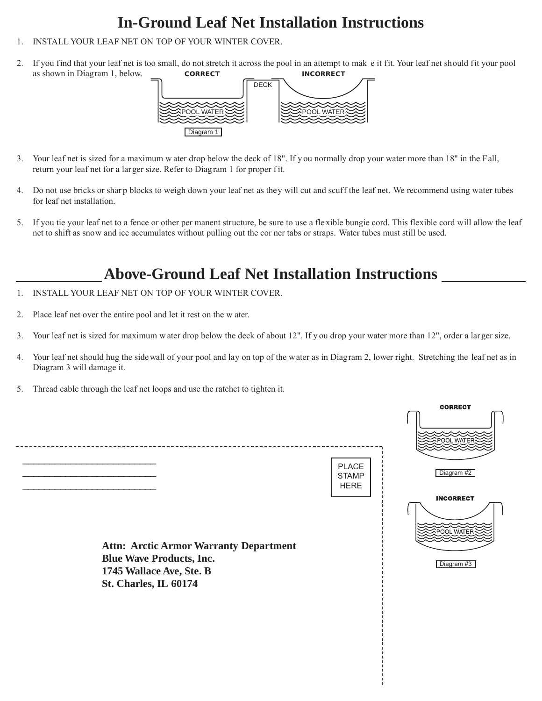## **In-Ground Leaf Net Installation Instructions**

- 1. INSTALL YOUR LEAF NET ON TOP OF YOUR WINTER COVER.
- 2. If you find that your leaf net is too small, do not stretch it across the pool in an attempt to mak e it fit. Your leaf net should fit your pool as shown in Diagram 1, below. **CORRECT INCORRECT**



- 3. Your leaf net is sized for a maximum w ater drop below the deck of 18". If y ou normally drop your water more than 18" in the Fall, return your leaf net for a larger size. Refer to Diagram 1 for proper f it.
- 4. Do not use bricks or shar p blocks to weigh down your leaf net as they will cut and scuff the leaf net. We recommend using water tubes for leaf net installation.
- 5. If you tie your leaf net to a fence or other per manent structure, be sure to use a fle xible bungie cord. This flexible cord will allow the leaf net to shift as snow and ice accumulates without pulling out the cor ner tabs or straps. Water tubes must still be used.

## **Above-Ground Leaf Net Installation Instructions**

- 1. INSTALL YOUR LEAF NET ON TOP OF YOUR WINTER COVER.
- 2. Place leaf net over the entire pool and let it rest on the w ater.
- 3. Your leaf net is sized for maximum w ater drop below the deck of about 12". If y ou drop your water more than 12", order a lar ger size.
- 4. Your leaf net should hug the side wall of your pool and lay on top of the water as in Diagram 2, lower right. Stretching the leaf net as in Diagram 3 will damage it.
- 5. Thread cable through the leaf net loops and use the ratchet to tighten it.